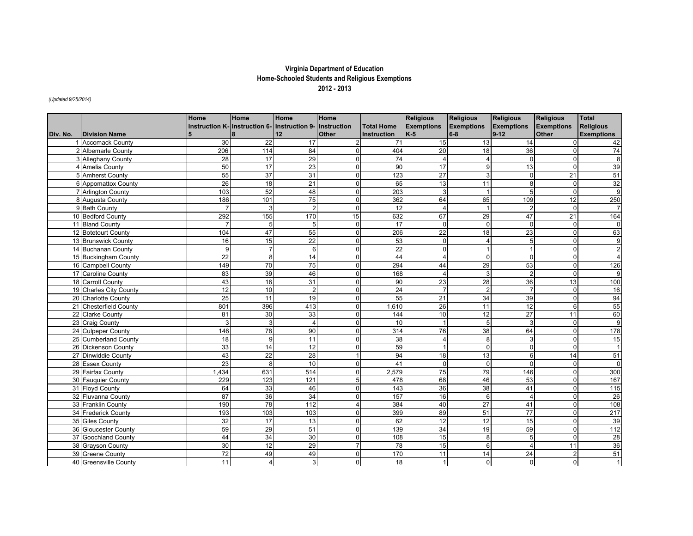## **Virginia Department of Education Home-Schooled Students and Religious Exemptions 2012 - 2013**

## *(Updated 9/25/2014)*

|          |                        | Home            | Home                                                  | Home           | Home                    |                    | <b>Religious</b>  | <b>Religious</b> | <b>Religious</b> | <b>Religious</b>        | Total             |
|----------|------------------------|-----------------|-------------------------------------------------------|----------------|-------------------------|--------------------|-------------------|------------------|------------------|-------------------------|-------------------|
|          |                        |                 | Instruction K-Instruction 6-Instruction 9-Instruction |                |                         | <b>Total Home</b>  | <b>Exemptions</b> | Exemptions       | Exemptions       | <b>Exemptions</b>       | <b>Religious</b>  |
| Div. No. | <b>Division Name</b>   |                 |                                                       | 12             | <b>Other</b>            | <b>Instruction</b> | $K-5$             | 6-8              | $9-12$           | <b>Other</b>            | <b>Exemptions</b> |
|          | Accomack County        | 30              | 22                                                    | 17             |                         | 71                 | 15                | 13               | 14               | $\Omega$                | 42                |
|          | 2 Albemarle County     | 206             | 114                                                   | 84             | $\Omega$                | 404                | 20                | 18               | 36               | $\mathbf 0$             | $\overline{74}$   |
|          | 3 Alleghany County     | 28              | 17                                                    | 29             | $\Omega$                | 74                 |                   |                  | $\Omega$         | $\mathbf 0$             | $\overline{8}$    |
|          | 4 Amelia County        | 50              | 17                                                    | 23             | $\Omega$                | 90                 | $\overline{17}$   | 9                | 13               | $\Omega$                | 39                |
|          | 5 Amherst County       | 55              | 37                                                    | 31             | $\Omega$                | 123                | $\overline{27}$   | 3                | $\Omega$         | 21                      | 51                |
|          | 6 Appomattox County    | 26              | 18                                                    | 21             | $\overline{0}$          | 65                 | 13                | 11               | 8                | $\pmb{0}$               | 32                |
|          | 7 Arlington County     | 103             | 52                                                    | 48             | $\Omega$                | 203                | 3                 |                  |                  | $\mathbf 0$             | 9                 |
|          | 8 Augusta County       | 186             | 101                                                   | 75             | $\Omega$                | 362                | 64                | 65               | 109              | 12                      | 250               |
|          | 9 Bath County          | $\overline{7}$  | 3                                                     | $\overline{2}$ | $\Omega$                | 12                 | $\overline{4}$    |                  |                  | $\Omega$                |                   |
|          | 10 Bedford County      | 292             | 155                                                   | 170            | 15                      | 632                | 67                | 29               | 47               | 21                      | 164               |
|          | 11 Bland County        | $\overline{7}$  | 5                                                     | 5              | $\Omega$                | 17                 | $\mathbf 0$       | $\Omega$         | $\Omega$         | $\mathbf 0$             | $\mathbf 0$       |
|          | 12 Botetourt County    | 104             | 47                                                    | 55             | $\Omega$                | 206                | 22                | 18               | 23               | $\mathbf 0$             | 63                |
|          | 13 Brunswick County    | 16              | 15                                                    | 22             | $\Omega$                | 53                 | $\mathbf 0$       | $\overline{4}$   | 5                | $\mathbf 0$             | $\boldsymbol{9}$  |
|          | 14 Buchanan County     | 9               | $\overline{7}$                                        | 6              | $\mathbf 0$             | 22                 | $\Omega$          | $\overline{1}$   |                  | $\mathbf 0$             | $\overline{2}$    |
|          | 15 Buckingham County   | 22              | 8                                                     | 14             | $\Omega$                | 44                 | $\overline{A}$    | $\Omega$         | $\Omega$         | $\mathbf 0$             | $\overline{4}$    |
|          | 16 Campbell County     | 149             | 70                                                    | 75             | $\overline{0}$          | 294                | 44                | 29               | 53               | $\mathbf 0$             | 126               |
|          | 17 Caroline County     | 83              | 39                                                    | 46             | $\Omega$                | 168                | $\overline{4}$    | 3                |                  | $\mathbf 0$             | 9                 |
|          | 18 Carroll County      | 43              | $\overline{16}$                                       | 31             | $\mathbf 0$             | 90                 | 23                | 28               | 36               | 13                      | 100               |
|          | 19 Charles City County | 12              | 10                                                    | $\overline{2}$ | $\Omega$                | 24                 | $\overline{7}$    | $\overline{2}$   |                  | $\mathbf 0$             | 16                |
|          | 20 Charlotte County    | $\overline{25}$ | 11                                                    | 19             | $\mathbf 0$             | 55                 | 21                | 34               | 39               | $\mathbf 0$             | 94                |
|          | 21 Chesterfield County | 801             | 396                                                   | 413            | $\overline{0}$          | 1,610              | $\overline{26}$   | 11               | 12               | 6                       | 55                |
|          | 22 Clarke County       | 81              | 30                                                    | 33             | $\Omega$                | 144                | 10                | 12               | 27               | 11                      | 60                |
|          | 23 Craig County        | 3               | 3                                                     | $\overline{4}$ | $\Omega$                | 10                 | $\overline{1}$    | 5                | 3                | $\overline{0}$          | $\boldsymbol{9}$  |
|          | 24 Culpeper County     | 146             | 78                                                    | 90             | $\Omega$                | 314                | 76                | 38               | 64               | $\mathbf 0$             | 178               |
|          | 25 Cumberland County   | 18              | 9                                                     | 11             | $\Omega$                | 38                 | $\overline{4}$    | 8                | 3                | $\Omega$                | 15                |
|          | 26 Dickenson County    | 33              | 14                                                    | 12             | $\Omega$                | 59                 |                   | $\Omega$         |                  | $\mathbf 0$             | $\mathbf{1}$      |
|          | 27 Dinwiddie County    | 43              | 22                                                    | 28             |                         | 94                 | 18                | 13               | 6                | 14                      | 51                |
|          | 28 Essex County        | 23              | 8                                                     | 10             | $\overline{0}$          | 41                 | $\mathbf 0$       | $\Omega$         | $\Omega$         | $\mathbf 0$             | $\mathbf 0$       |
|          | 29 Fairfax County      | 1,434           | 631                                                   | 514            | $\Omega$                | 2,579              | $\overline{75}$   | 79               | 146              | $\mathbf 0$             | 300               |
|          | 30 Fauguier County     | 229             | 123                                                   | 121            | 5 <sup>1</sup>          | 478                | 68                | 46               | 53               | $\pmb{0}$               | 167               |
|          | 31 Floyd County        | 64              | 33                                                    | 46             | $\overline{0}$          | 143                | 36                | 38               | 41               | $\mathbf 0$             | 115               |
|          | 32 Fluvanna County     | 87              | 36                                                    | 34             | $\Omega$                | 157                | 16                | 6                |                  | $\mathbf 0$             | 26                |
|          | 33 Franklin County     | 190             | $\overline{78}$                                       | 112            | $\overline{\mathbf{4}}$ | 384                | 40                | 27               | 41               | $\mathbf 0$             | 108               |
|          | 34 Frederick County    | 193             | 103                                                   | 103            | $\Omega$                | 399                | 89                | 51               | 77               | $\mathbf 0$             | 217               |
|          | 35 Giles County        | 32              | 17                                                    | 13             | $\Omega$                | 62                 | 12                | 12               | 15               | $\mathbf 0$             | 39                |
|          | 36 Gloucester County   | 59              | 29                                                    | 51             | $\Omega$                | 139                | 34                | 19               | 59               | $\overline{0}$          | 112               |
|          | 37 Goochland County    | 44              | $\overline{34}$                                       | 30             | $\Omega$                | 108                | $\overline{15}$   | 8                | 5                | $\Omega$                | 28                |
|          | 38 Grayson County      | 30              | 12                                                    | 29             | $\overline{7}$          | 78                 | 15                | 6                |                  | 11                      | 36                |
|          | 39 Greene County       | $\overline{72}$ | 49                                                    | 49             | $\overline{0}$          | 170                | 11                | 14               | 24               | $\overline{\mathbf{c}}$ | 51                |
|          | 40 Greensville County  | $\overline{11}$ | 4                                                     | 3              | $\Omega$                | 18                 | $\mathbf{1}$      | $\Omega$         | $\Omega$         | $\Omega$                | $\overline{1}$    |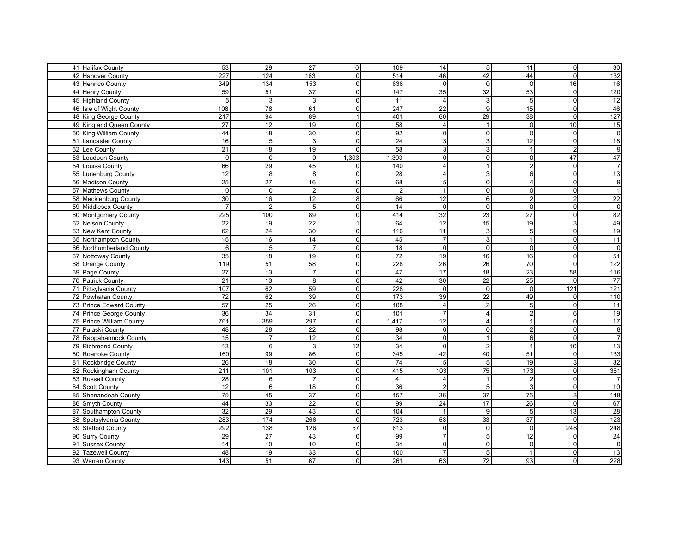| 41 Halifax County        | 53                | 29              | $\overline{27}$ | $\overline{0}$  | 109              | 14               | $\sqrt{5}$      | 11              | $\mathbf 0$             | 30               |
|--------------------------|-------------------|-----------------|-----------------|-----------------|------------------|------------------|-----------------|-----------------|-------------------------|------------------|
| 42 Hanover County        | 227               | $\frac{1}{24}$  | 163             | $\Omega$        | $\overline{514}$ | 46               | 42              | 44              | $\Omega$                | 132              |
| 43 Henrico County        | $\overline{349}$  | 134             | $\frac{153}{ }$ | $\overline{0}$  | 636              | $\mathbf 0$      | $\mathbf 0$     | $\Omega$        | 16                      | 16               |
| 44 Henry County          | 59                | 51              | 37              | $\overline{0}$  | 147              | 35               | 32              | 53              | $\mathbf 0$             | 120              |
| 45 Highland County       | 5 <sub>5</sub>    | $\overline{3}$  | $\mathbf{3}$    | $\Omega$        | 11               | $\overline{4}$   | $\mathbf{3}$    | $\overline{5}$  | $\mathbf 0$             | 12               |
| 46 Isle of Wight County  | 108               | $\overline{78}$ | 61              | $\Omega$        | 247              | 22               | 9               | 15              | $\Omega$                | 46               |
| 48 King George County    | $\overline{217}$  | 94              | 89              | $\mathbf{1}$    | 401              | 60               | 29              | 38              | $\mathbf 0$             | 127              |
| 49 King and Queen County | 27                | 12              | 19              | $\overline{0}$  | 58               | $\overline{4}$   | $\overline{1}$  | $\Omega$        | 10                      | 15               |
| 50 King William County   | 44                | 18              | $30\,$          | $\overline{0}$  | 92               | $\mathbf 0$      | $\mathbf 0$     | $\Omega$        | $\mathbf 0$             | $\mathbf 0$      |
| 51 Lancaster County      | $\overline{16}$   | $\overline{5}$  | 3               | $\Omega$        | $\overline{24}$  | 3                | 3               | 12              | $\overline{0}$          | 18               |
| 52 Lee County            | $\overline{21}$   | 18              | 19              | $\Omega$        | 58               | 3                | 3               |                 | $\overline{2}$          | 9                |
| 53 Loudoun County        | $\overline{0}$    | $\mathbf 0$     | $\pmb{0}$       | 1,303           | 1,303            | $\mathbf 0$      | $\Omega$        | $\Omega$        | 47                      | 47               |
| 54 Louisa County         | 66                | 29              | 45              | $\Omega$        | 140              | $\overline{4}$   | $\mathbf{1}$    | $\overline{2}$  | $\mathbf 0$             | $\overline{7}$   |
| 55 Lunenburg County      | 12                | 8               | $\,8\,$         | $\Omega$        | 28               | $\overline{4}$   | 3               | 6 <sup>1</sup>  | $\mathbf 0$             | 13               |
| 56 Madison County        | 25                | 27              | 16              | $\Omega$        | 68               | 5                | $\Omega$        |                 | $\Omega$                | $\boldsymbol{9}$ |
| 57 Mathews County        | $\Omega$          | $\mathbf 0$     | $\overline{2}$  | $\Omega$        | 2                | 1                | $\mathbf 0$     | $\Omega$        | $\mathbf 0$             | $\overline{1}$   |
| 58 Mecklenburg County    | 30                | 16              | 12              | 8 <sup>1</sup>  | 66               | 12               | 6               | $\overline{2}$  | $\mathbf 2$             | 22               |
| 59 Middlesex County      | $\overline{7}$    | $\overline{2}$  | $\overline{5}$  | $\Omega$        | 14               | $\Omega$         | $\Omega$        | $\Omega$        | $\mathbf 0$             | $\overline{0}$   |
| 60 Montgomery County     | 225               | 100             | 89              | $\overline{0}$  | 414              | 32               | 23              | 27              | $\mathsf{O}\xspace$     | 82               |
| 62 Nelson County         | $\overline{22}$   | 19              | $\overline{22}$ |                 | 64               | $\overline{12}$  | 15              | 19              | 3                       | 49               |
| 63 New Kent County       | 62                | 24              | 30              | $\overline{0}$  | 116              | 11               | $\mathbf{3}$    | 5               | $\mathsf{O}\xspace$     | 19               |
| 65 Northampton County    | 15                | 16              | 14              | $\Omega$        | 45               | $\overline{7}$   | 3               |                 | $\overline{0}$          | 11               |
| 66 Northumberland County | $\,6\,$           | 5               | $\overline{7}$  | $\overline{0}$  | 18               | $\mathbf 0$      | 0               | $\Omega$        | $\mathbf 0$             | $\pmb{0}$        |
| 67 Nottoway County       | 35                | 18              | 19              | $\overline{0}$  | 72               | 19               | 16              | 16              | $\overline{\mathbf{0}}$ | 51               |
| 68 Orange County         | $\frac{119}{119}$ | 51              | 58              | $\overline{0}$  | 228              | 26               | $\overline{26}$ | $\overline{70}$ | $\mathbf 0$             | 122              |
| 69 Page County           | 27                | 13              | $\overline{7}$  | $\overline{0}$  | 47               | $\overline{17}$  | 18              | 23              | 58                      | 116              |
| 70 Patrick County        | 21                | $\overline{13}$ | $\overline{8}$  | $\Omega$        | 42               | $\overline{30}$  | 22              | $\overline{25}$ | $\Omega$                | 77               |
| 71 Pittsylvania County   | 107               | 62              | 59              | $\overline{0}$  | 228              | $\mathbf 0$      | $\mathbf 0$     | $\Omega$        | 121                     | 121              |
| 72 Powhatan County       | $\overline{72}$   | 62              | 39              | $\overline{0}$  | $\frac{1}{173}$  | 39               | $\overline{22}$ | 49              | $\mathbf 0$             | 110              |
| 73 Prince Edward County  | 57                | 25              | 26              | $\overline{0}$  | 108              | $\overline{4}$   | $\overline{2}$  |                 | $\mathbf 0$             | 11               |
| 74 Prince George County  | 36                | 34              | 31              | $\overline{0}$  | 101              | $\overline{7}$   | 4               | $\mathfrak{p}$  | 6                       | 19               |
| 75 Prince William County | 761               | 359             | 297             | $\overline{0}$  | 1,417            | 12               | $\overline{4}$  |                 | $\mathbf 0$             | 17               |
| 77 Pulaski County        | 48                | 28              | 22              | $\Omega$        | 98               | 6                | $\Omega$        | 2               | $\mathbf 0$             | $\overline{8}$   |
| 78 Rappahannock County   | 15                | $\overline{7}$  | 12              | $\overline{0}$  | 34               | $\mathbf 0$      | $\overline{1}$  | $6\overline{6}$ | $\mathbf 0$             | $\overline{7}$   |
| 79 Richmond County       | $\overline{13}$   | 6               | 3               | $\overline{12}$ | $\overline{34}$  | $\Omega$         | $\overline{2}$  |                 | 10                      | 13               |
| 80 Roanoke County        | 160               | 99              | 86              | $\overline{0}$  | 345              | 42               | 40              | 51              | $\mathbf 0$             | 133              |
| 81 Rockbridge County     | $\overline{26}$   | $\overline{18}$ | 30              | $\Omega$        | 74               | 5                | 5               | 19              | $\overline{3}$          | 32               |
| 82 Rockingham County     | 211               | 101             | $\frac{1}{103}$ | $\overline{0}$  | 415              | 103              | 75              | 173             | $\mathbf 0$             | 351              |
| 83 Russell County        | 28                | 6               | $\overline{7}$  | $\Omega$        | 41               | $\overline{4}$   | $\overline{1}$  | 2               | $\Omega$                | $\overline{7}$   |
| 84 Scott County          | 12                | 6               | 18              | $\overline{0}$  | 36               | $\overline{2}$   | 5               | $\mathbf{3}$    | $\mathbf 0$             | 10               |
| 85 Shenandoah County     | 75                | 45              | 37              | $\overline{0}$  | 157              | 36               | 37              | 75              | 3                       | 148              |
| 86 Smyth County          | 44                | 33              | 22              | $\overline{0}$  | 99               | 24               | 17              | 26              | $\mathbf 0$             | 67               |
| 87 Southampton County    | 32                | 29              | 43              | $\overline{0}$  | 104              |                  | 9               | 5               | 13                      | 28               |
| 88 Spotsylvania County   | 283               | $\frac{1}{174}$ | 266             | $\Omega$        | 723              | 53               | 33              | $\overline{37}$ | $\Omega$                | 123              |
| 89 Stafford County       | 292               | 138             | 126             | 57              | 613              | $\boldsymbol{0}$ | $\mathbf{0}$    | $\Omega$        | 248                     | 248              |
| 90 Surry County          | 29                | 27              | 43              | $\overline{0}$  | 99               | $\overline{7}$   | 5               | 12              | $\mathbf 0$             | 24               |
| 91 Sussex County         | $\overline{14}$   | 10              | 10              | $\overline{0}$  | 34               | $\mathbf 0$      | $\mathbf{0}$    | $\Omega$        | $\mathbf 0$             | $\mathbf 0$      |
| 92 Tazewell County       | 48                | 19              | 33              | $\overline{0}$  | 100              | $\overline{7}$   | 5               |                 | $\overline{0}$          | 13               |
| 93 Warren County         | 143               | 51              | 67              | $\Omega$        | 261              | 63               | $\overline{72}$ | 93              | $\overline{0}$          | 228              |
|                          |                   |                 |                 |                 |                  |                  |                 |                 |                         |                  |